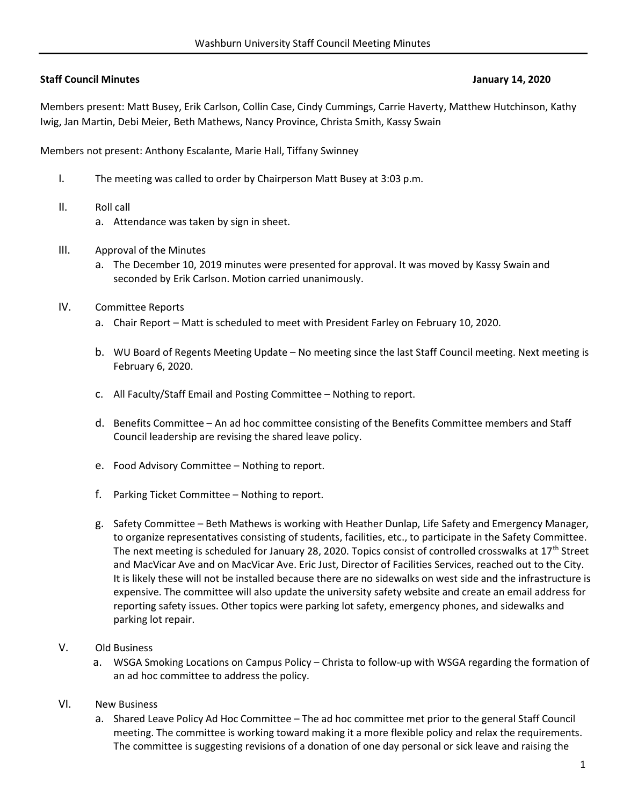## Staff Council Minutes **Staff Council Minutes** January 14, 2020

Members present: Matt Busey, Erik Carlson, Collin Case, Cindy Cummings, Carrie Haverty, Matthew Hutchinson, Kathy Iwig, Jan Martin, Debi Meier, Beth Mathews, Nancy Province, Christa Smith, Kassy Swain

Members not present: Anthony Escalante, Marie Hall, Tiffany Swinney

- I. The meeting was called to order by Chairperson Matt Busey at 3:03 p.m.
- II. Roll call
	- a. Attendance was taken by sign in sheet.
- III. Approval of the Minutes
	- a. The December 10, 2019 minutes were presented for approval. It was moved by Kassy Swain and seconded by Erik Carlson. Motion carried unanimously.
- IV. Committee Reports
	- a. Chair Report Matt is scheduled to meet with President Farley on February 10, 2020.
	- b. WU Board of Regents Meeting Update No meeting since the last Staff Council meeting. Next meeting is February 6, 2020.
	- c. All Faculty/Staff Email and Posting Committee Nothing to report.
	- d. Benefits Committee An ad hoc committee consisting of the Benefits Committee members and Staff Council leadership are revising the shared leave policy.
	- e. Food Advisory Committee Nothing to report.
	- f. Parking Ticket Committee Nothing to report.
	- g. Safety Committee Beth Mathews is working with Heather Dunlap, Life Safety and Emergency Manager, to organize representatives consisting of students, facilities, etc., to participate in the Safety Committee. The next meeting is scheduled for January 28, 2020. Topics consist of controlled crosswalks at 17<sup>th</sup> Street and MacVicar Ave and on MacVicar Ave. Eric Just, Director of Facilities Services, reached out to the City. It is likely these will not be installed because there are no sidewalks on west side and the infrastructure is expensive. The committee will also update the university safety website and create an email address for reporting safety issues. Other topics were parking lot safety, emergency phones, and sidewalks and parking lot repair.
- V. Old Business
	- a. WSGA Smoking Locations on Campus Policy Christa to follow-up with WSGA regarding the formation of an ad hoc committee to address the policy.
- VI. New Business
	- a. Shared Leave Policy Ad Hoc Committee The ad hoc committee met prior to the general Staff Council meeting. The committee is working toward making it a more flexible policy and relax the requirements. The committee is suggesting revisions of a donation of one day personal or sick leave and raising the